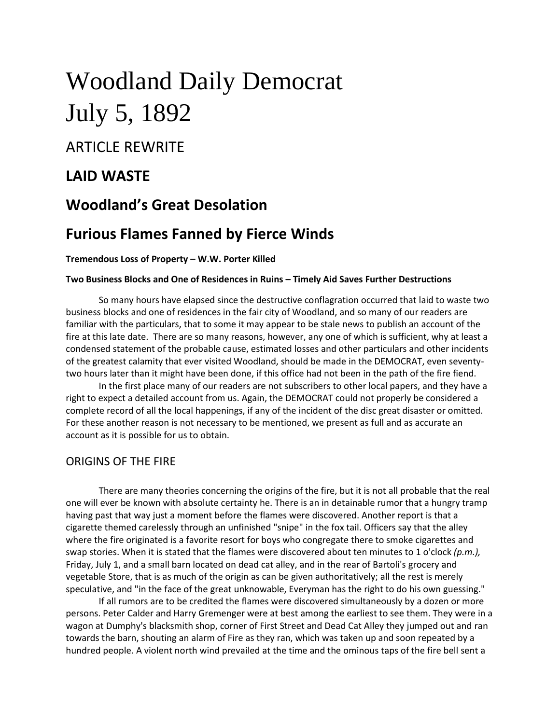# Woodland Daily Democrat July 5, 1892

**ARTICLE REWRITE** 

# **LAID WASTE**

# **Woodland's Great Desolation**

# **Furious Flames Fanned by Fierce Winds**

#### **Tremendous Loss of Property – W.W. Porter Killed**

#### **Two Business Blocks and One of Residences in Ruins – Timely Aid Saves Further Destructions**

So many hours have elapsed since the destructive conflagration occurred that laid to waste two business blocks and one of residences in the fair city of Woodland, and so many of our readers are familiar with the particulars, that to some it may appear to be stale news to publish an account of the fire at this late date. There are so many reasons, however, any one of which is sufficient, why at least a condensed statement of the probable cause, estimated losses and other particulars and other incidents of the greatest calamity that ever visited Woodland, should be made in the DEMOCRAT, even seventytwo hours later than it might have been done, if this office had not been in the path of the fire fiend.

In the first place many of our readers are not subscribers to other local papers, and they have a right to expect a detailed account from us. Again, the DEMOCRAT could not properly be considered a complete record of all the local happenings, if any of the incident of the disc great disaster or omitted. For these another reason is not necessary to be mentioned, we present as full and as accurate an account as it is possible for us to obtain.

## ORIGINS OF THE FIRE

There are many theories concerning the origins of the fire, but it is not all probable that the real one will ever be known with absolute certainty he. There is an in detainable rumor that a hungry tramp having past that way just a moment before the flames were discovered. Another report is that a cigarette themed carelessly through an unfinished "snipe" in the fox tail. Officers say that the alley where the fire originated is a favorite resort for boys who congregate there to smoke cigarettes and swap stories. When it is stated that the flames were discovered about ten minutes to 1 o'clock *(p.m.),* Friday, July 1, and a small barn located on dead cat alley, and in the rear of Bartoli's grocery and vegetable Store, that is as much of the origin as can be given authoritatively; all the rest is merely speculative, and "in the face of the great unknowable, Everyman has the right to do his own guessing."

If all rumors are to be credited the flames were discovered simultaneously by a dozen or more persons. Peter Calder and Harry Gremenger were at best among the earliest to see them. They were in a wagon at Dumphy's blacksmith shop, corner of First Street and Dead Cat Alley they jumped out and ran towards the barn, shouting an alarm of Fire as they ran, which was taken up and soon repeated by a hundred people. A violent north wind prevailed at the time and the ominous taps of the fire bell sent a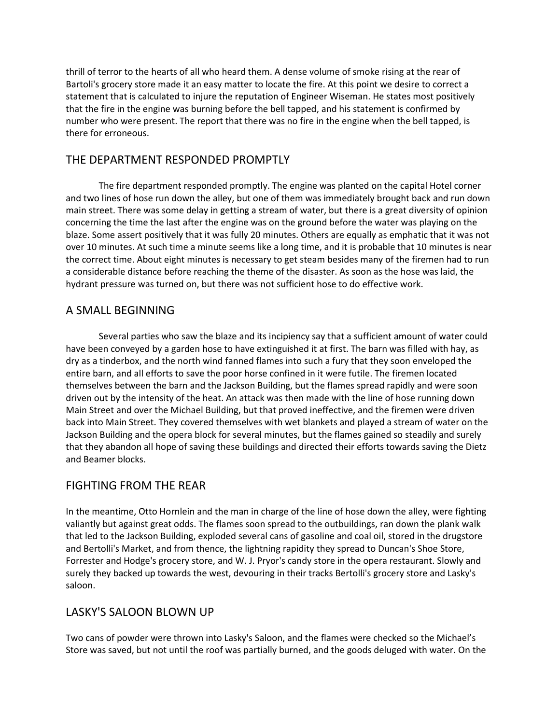thrill of terror to the hearts of all who heard them. A dense volume of smoke rising at the rear of Bartoli's grocery store made it an easy matter to locate the fire. At this point we desire to correct a statement that is calculated to injure the reputation of Engineer Wiseman. He states most positively that the fire in the engine was burning before the bell tapped, and his statement is confirmed by number who were present. The report that there was no fire in the engine when the bell tapped, is there for erroneous.

## THE DEPARTMENT RESPONDED PROMPTLY

The fire department responded promptly. The engine was planted on the capital Hotel corner and two lines of hose run down the alley, but one of them was immediately brought back and run down main street. There was some delay in getting a stream of water, but there is a great diversity of opinion concerning the time the last after the engine was on the ground before the water was playing on the blaze. Some assert positively that it was fully 20 minutes. Others are equally as emphatic that it was not over 10 minutes. At such time a minute seems like a long time, and it is probable that 10 minutes is near the correct time. About eight minutes is necessary to get steam besides many of the firemen had to run a considerable distance before reaching the theme of the disaster. As soon as the hose was laid, the hydrant pressure was turned on, but there was not sufficient hose to do effective work.

## A SMALL BEGINNING

Several parties who saw the blaze and its incipiency say that a sufficient amount of water could have been conveyed by a garden hose to have extinguished it at first. The barn was filled with hay, as dry as a tinderbox, and the north wind fanned flames into such a fury that they soon enveloped the entire barn, and all efforts to save the poor horse confined in it were futile. The firemen located themselves between the barn and the Jackson Building, but the flames spread rapidly and were soon driven out by the intensity of the heat. An attack was then made with the line of hose running down Main Street and over the Michael Building, but that proved ineffective, and the firemen were driven back into Main Street. They covered themselves with wet blankets and played a stream of water on the Jackson Building and the opera block for several minutes, but the flames gained so steadily and surely that they abandon all hope of saving these buildings and directed their efforts towards saving the Dietz and Beamer blocks.

## FIGHTING FROM THE REAR

In the meantime, Otto Hornlein and the man in charge of the line of hose down the alley, were fighting valiantly but against great odds. The flames soon spread to the outbuildings, ran down the plank walk that led to the Jackson Building, exploded several cans of gasoline and coal oil, stored in the drugstore and Bertolli's Market, and from thence, the lightning rapidity they spread to Duncan's Shoe Store, Forrester and Hodge's grocery store, and W. J. Pryor's candy store in the opera restaurant. Slowly and surely they backed up towards the west, devouring in their tracks Bertolli's grocery store and Lasky's saloon.

## LASKY'S SALOON BLOWN UP

Two cans of powder were thrown into Lasky's Saloon, and the flames were checked so the Michael's Store was saved, but not until the roof was partially burned, and the goods deluged with water. On the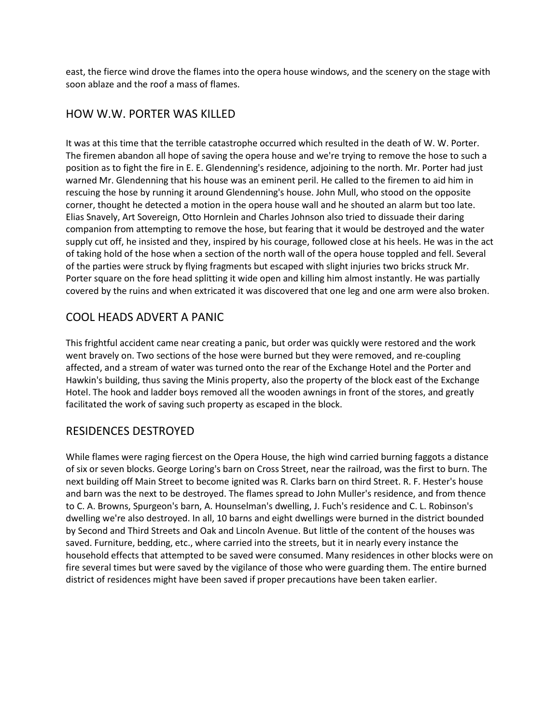east, the fierce wind drove the flames into the opera house windows, and the scenery on the stage with soon ablaze and the roof a mass of flames.

## HOW W.W. PORTER WAS KILLED

It was at this time that the terrible catastrophe occurred which resulted in the death of W. W. Porter. The firemen abandon all hope of saving the opera house and we're trying to remove the hose to such a position as to fight the fire in E. E. Glendenning's residence, adjoining to the north. Mr. Porter had just warned Mr. Glendenning that his house was an eminent peril. He called to the firemen to aid him in rescuing the hose by running it around Glendenning's house. John Mull, who stood on the opposite corner, thought he detected a motion in the opera house wall and he shouted an alarm but too late. Elias Snavely, Art Sovereign, Otto Hornlein and Charles Johnson also tried to dissuade their daring companion from attempting to remove the hose, but fearing that it would be destroyed and the water supply cut off, he insisted and they, inspired by his courage, followed close at his heels. He was in the act of taking hold of the hose when a section of the north wall of the opera house toppled and fell. Several of the parties were struck by flying fragments but escaped with slight injuries two bricks struck Mr. Porter square on the fore head splitting it wide open and killing him almost instantly. He was partially covered by the ruins and when extricated it was discovered that one leg and one arm were also broken.

## COOL HEADS ADVERT A PANIC

This frightful accident came near creating a panic, but order was quickly were restored and the work went bravely on. Two sections of the hose were burned but they were removed, and re-coupling affected, and a stream of water was turned onto the rear of the Exchange Hotel and the Porter and Hawkin's building, thus saving the Minis property, also the property of the block east of the Exchange Hotel. The hook and ladder boys removed all the wooden awnings in front of the stores, and greatly facilitated the work of saving such property as escaped in the block.

## RESIDENCES DESTROYED

While flames were raging fiercest on the Opera House, the high wind carried burning faggots a distance of six or seven blocks. George Loring's barn on Cross Street, near the railroad, was the first to burn. The next building off Main Street to become ignited was R. Clarks barn on third Street. R. F. Hester's house and barn was the next to be destroyed. The flames spread to John Muller's residence, and from thence to C. A. Browns, Spurgeon's barn, A. Hounselman's dwelling, J. Fuch's residence and C. L. Robinson's dwelling we're also destroyed. In all, 10 barns and eight dwellings were burned in the district bounded by Second and Third Streets and Oak and Lincoln Avenue. But little of the content of the houses was saved. Furniture, bedding, etc., where carried into the streets, but it in nearly every instance the household effects that attempted to be saved were consumed. Many residences in other blocks were on fire several times but were saved by the vigilance of those who were guarding them. The entire burned district of residences might have been saved if proper precautions have been taken earlier.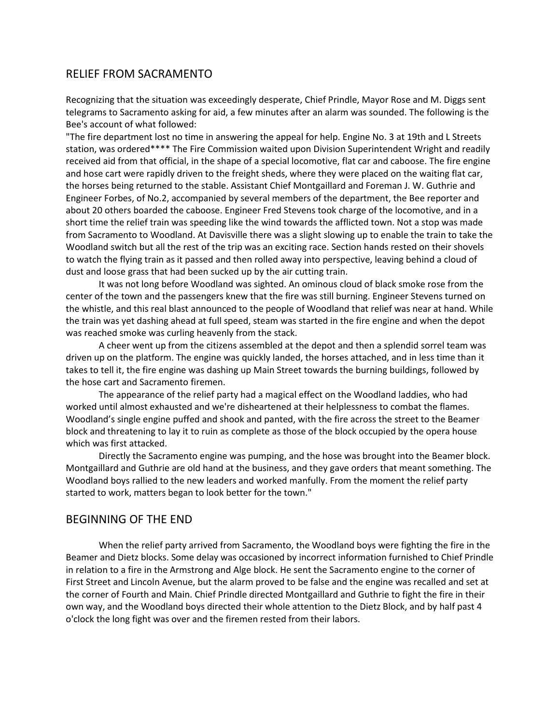## RELIEF FROM SACRAMENTO

Recognizing that the situation was exceedingly desperate, Chief Prindle, Mayor Rose and M. Diggs sent telegrams to Sacramento asking for aid, a few minutes after an alarm was sounded. The following is the Bee's account of what followed:

"The fire department lost no time in answering the appeal for help. Engine No. 3 at 19th and L Streets station, was ordered\*\*\*\* The Fire Commission waited upon Division Superintendent Wright and readily received aid from that official, in the shape of a special locomotive, flat car and caboose. The fire engine and hose cart were rapidly driven to the freight sheds, where they were placed on the waiting flat car, the horses being returned to the stable. Assistant Chief Montgaillard and Foreman J. W. Guthrie and Engineer Forbes, of No.2, accompanied by several members of the department, the Bee reporter and about 20 others boarded the caboose. Engineer Fred Stevens took charge of the locomotive, and in a short time the relief train was speeding like the wind towards the afflicted town. Not a stop was made from Sacramento to Woodland. At Davisville there was a slight slowing up to enable the train to take the Woodland switch but all the rest of the trip was an exciting race. Section hands rested on their shovels to watch the flying train as it passed and then rolled away into perspective, leaving behind a cloud of dust and loose grass that had been sucked up by the air cutting train.

It was not long before Woodland was sighted. An ominous cloud of black smoke rose from the center of the town and the passengers knew that the fire was still burning. Engineer Stevens turned on the whistle, and this real blast announced to the people of Woodland that relief was near at hand. While the train was yet dashing ahead at full speed, steam was started in the fire engine and when the depot was reached smoke was curling heavenly from the stack.

A cheer went up from the citizens assembled at the depot and then a splendid sorrel team was driven up on the platform. The engine was quickly landed, the horses attached, and in less time than it takes to tell it, the fire engine was dashing up Main Street towards the burning buildings, followed by the hose cart and Sacramento firemen.

The appearance of the relief party had a magical effect on the Woodland laddies, who had worked until almost exhausted and we're disheartened at their helplessness to combat the flames. Woodland's single engine puffed and shook and panted, with the fire across the street to the Beamer block and threatening to lay it to ruin as complete as those of the block occupied by the opera house which was first attacked.

Directly the Sacramento engine was pumping, and the hose was brought into the Beamer block. Montgaillard and Guthrie are old hand at the business, and they gave orders that meant something. The Woodland boys rallied to the new leaders and worked manfully. From the moment the relief party started to work, matters began to look better for the town."

#### BEGINNING OF THE END

When the relief party arrived from Sacramento, the Woodland boys were fighting the fire in the Beamer and Dietz blocks. Some delay was occasioned by incorrect information furnished to Chief Prindle in relation to a fire in the Armstrong and Alge block. He sent the Sacramento engine to the corner of First Street and Lincoln Avenue, but the alarm proved to be false and the engine was recalled and set at the corner of Fourth and Main. Chief Prindle directed Montgaillard and Guthrie to fight the fire in their own way, and the Woodland boys directed their whole attention to the Dietz Block, and by half past 4 o'clock the long fight was over and the firemen rested from their labors.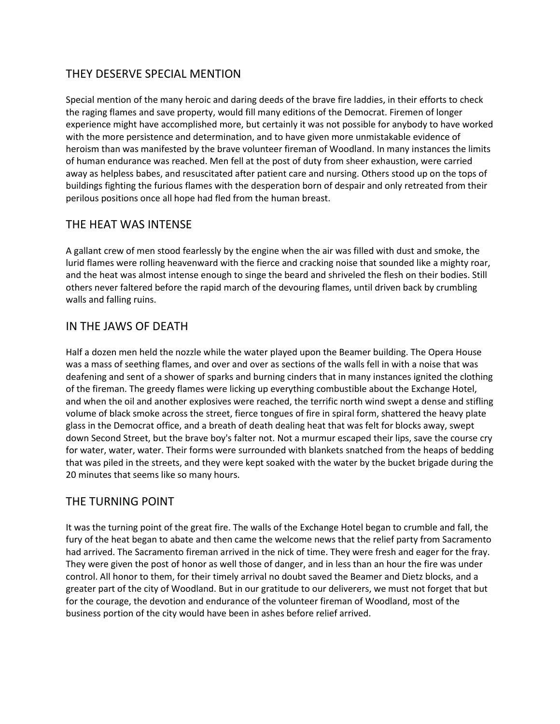## THEY DESERVE SPECIAL MENTION

Special mention of the many heroic and daring deeds of the brave fire laddies, in their efforts to check the raging flames and save property, would fill many editions of the Democrat. Firemen of longer experience might have accomplished more, but certainly it was not possible for anybody to have worked with the more persistence and determination, and to have given more unmistakable evidence of heroism than was manifested by the brave volunteer fireman of Woodland. In many instances the limits of human endurance was reached. Men fell at the post of duty from sheer exhaustion, were carried away as helpless babes, and resuscitated after patient care and nursing. Others stood up on the tops of buildings fighting the furious flames with the desperation born of despair and only retreated from their perilous positions once all hope had fled from the human breast.

## THE HEAT WAS INTENSE

A gallant crew of men stood fearlessly by the engine when the air was filled with dust and smoke, the lurid flames were rolling heavenward with the fierce and cracking noise that sounded like a mighty roar, and the heat was almost intense enough to singe the beard and shriveled the flesh on their bodies. Still others never faltered before the rapid march of the devouring flames, until driven back by crumbling walls and falling ruins.

## IN THE JAWS OF DEATH

Half a dozen men held the nozzle while the water played upon the Beamer building. The Opera House was a mass of seething flames, and over and over as sections of the walls fell in with a noise that was deafening and sent of a shower of sparks and burning cinders that in many instances ignited the clothing of the fireman. The greedy flames were licking up everything combustible about the Exchange Hotel, and when the oil and another explosives were reached, the terrific north wind swept a dense and stifling volume of black smoke across the street, fierce tongues of fire in spiral form, shattered the heavy plate glass in the Democrat office, and a breath of death dealing heat that was felt for blocks away, swept down Second Street, but the brave boy's falter not. Not a murmur escaped their lips, save the course cry for water, water, water. Their forms were surrounded with blankets snatched from the heaps of bedding that was piled in the streets, and they were kept soaked with the water by the bucket brigade during the 20 minutes that seems like so many hours.

## THE TURNING POINT

It was the turning point of the great fire. The walls of the Exchange Hotel began to crumble and fall, the fury of the heat began to abate and then came the welcome news that the relief party from Sacramento had arrived. The Sacramento fireman arrived in the nick of time. They were fresh and eager for the fray. They were given the post of honor as well those of danger, and in less than an hour the fire was under control. All honor to them, for their timely arrival no doubt saved the Beamer and Dietz blocks, and a greater part of the city of Woodland. But in our gratitude to our deliverers, we must not forget that but for the courage, the devotion and endurance of the volunteer fireman of Woodland, most of the business portion of the city would have been in ashes before relief arrived.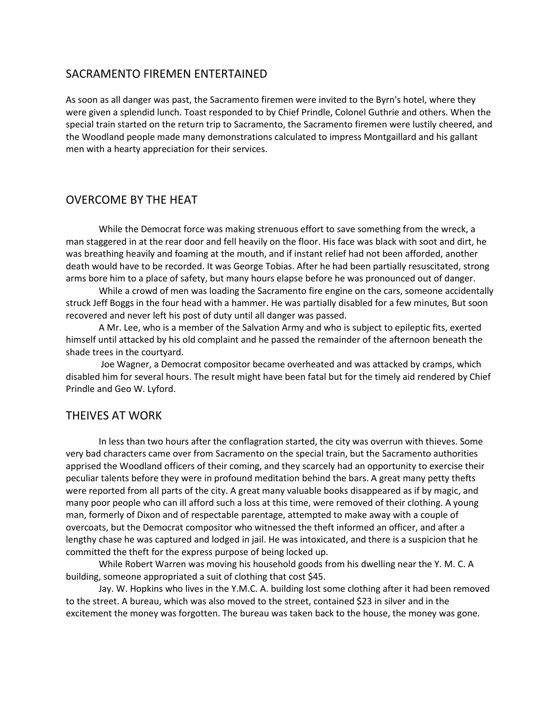#### SACRAMENTO FIREMEN ENTERTAINED

As soon as all danger was past, the Sacramento firemen were invited to the Byrn's hotel, where they were given a splendid lunch. Toast responded to by Chief Prindle, Colonel Guthrie and others. When the special train started on the return trip to Sacramento, the Sacramento firemen were lustily cheered, and the Woodland people made many demonstrations calculated to impress Montgaillard and his gallant men with a hearty appreciation for their services.

#### OVERCOME BY THE HEAT

While the Democrat force was making strenuous effort to save something from the wreck, a man staggered in at the rear door and fell heavily on the floor. His face was black with soot and dirt, he was breathing heavily and foaming at the mouth, and if instant relief had not been afforded, another death would have to be recorded. It was George Tobias. After he had been partially resuscitated, strong arms bore him to a place of safety, but many hours elapse before he was pronounced out of danger.

While a crowd of men was loading the Sacramento fire engine on the cars, someone accidentally struck Jeff Boggs in the four head with a hammer. He was partially disabled for a few minutes, But soon recovered and never left his post of duty until all danger was passed.

A Mr. Lee, who is a member of the Salvation Army and who is subject to epileptic fits, exerted himself until attacked by his old complaint and he passed the remainder of the afternoon beneath the shade trees in the courtyard.

Joe Wagner, a Democrat compositor became overheated and was attacked by cramps, which disabled him for several hours. The result might have been fatal but for the timely aid rendered by Chief Prindle and Geo W. Lyford.

#### THEIVES AT WORK

In less than two hours after the conflagration started, the city was overrun with thieves. Some very bad characters came over from Sacramento on the special train, but the Sacramento authorities apprised the Woodland officers of their coming, and they scarcely had an opportunity to exercise their peculiar talents before they were in profound meditation behind the bars. A great many petty thefts were reported from all parts of the city. A great many valuable books disappeared as if by magic, and many poor people who can ill afford such a loss at this time, were removed of their clothing. A young man, formerly of Dixon and of respectable parentage, attempted to make away with a couple of overcoats, but the Democrat compositor who witnessed the theft informed an officer, and after a lengthy chase he was captured and lodged in jail. He was intoxicated, and there is a suspicion that he committed the theft for the express purpose of being locked up.

While Robert Warren was moving his household goods from his dwelling near the Y. M. C. A building, someone appropriated a suit of clothing that cost \$45.

Jay. W. Hopkins who lives in the Y.M.C. A. building lost some clothing after it had been removed to the street. A bureau, which was also moved to the street, contained \$23 in silver and in the excitement the money was forgotten. The bureau was taken back to the house, the money was gone.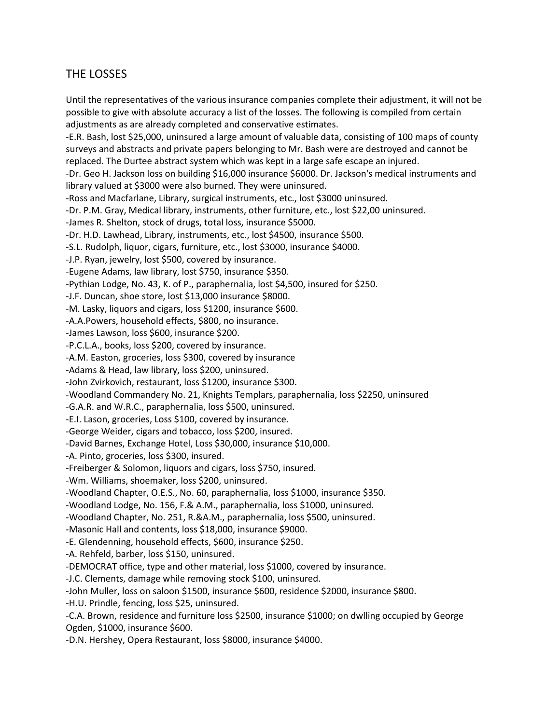## THE LOSSES

Until the representatives of the various insurance companies complete their adjustment, it will not be possible to give with absolute accuracy a list of the losses. The following is compiled from certain adjustments as are already completed and conservative estimates. -E.R. Bash, lost \$25,000, uninsured a large amount of valuable data, consisting of 100 maps of county surveys and abstracts and private papers belonging to Mr. Bash were are destroyed and cannot be replaced. The Durtee abstract system which was kept in a large safe escape an injured. -Dr. Geo H. Jackson loss on building \$16,000 insurance \$6000. Dr. Jackson's medical instruments and library valued at \$3000 were also burned. They were uninsured. -Ross and Macfarlane, Library, surgical instruments, etc., lost \$3000 uninsured. -Dr. P.M. Gray, Medical library, instruments, other furniture, etc., lost \$22,00 uninsured. -James R. Shelton, stock of drugs, total loss, insurance \$5000. -Dr. H.D. Lawhead, Library, instruments, etc., lost \$4500, insurance \$500. -S.L. Rudolph, liquor, cigars, furniture, etc., lost \$3000, insurance \$4000. -J.P. Ryan, jewelry, lost \$500, covered by insurance. -Eugene Adams, law library, lost \$750, insurance \$350. -Pythian Lodge, No. 43, K. of P., paraphernalia, lost \$4,500, insured for \$250. -J.F. Duncan, shoe store, lost \$13,000 insurance \$8000. -M. Lasky, liquors and cigars, loss \$1200, insurance \$600. -A.A.Powers, household effects, \$800, no insurance. -James Lawson, loss \$600, insurance \$200. -P.C.L.A., books, loss \$200, covered by insurance. -A.M. Easton, groceries, loss \$300, covered by insurance -Adams & Head, law library, loss \$200, uninsured. -John Zvirkovich, restaurant, loss \$1200, insurance \$300. -Woodland Commandery No. 21, Knights Templars, paraphernalia, loss \$2250, uninsured -G.A.R. and W.R.C., paraphernalia, loss \$500, uninsured. -E.I. Lason, groceries, Loss \$100, covered by insurance. -George Weider, cigars and tobacco, loss \$200, insured. -David Barnes, Exchange Hotel, Loss \$30,000, insurance \$10,000. -A. Pinto, groceries, loss \$300, insured. -Freiberger & Solomon, liquors and cigars, loss \$750, insured. -Wm. Williams, shoemaker, loss \$200, uninsured. -Woodland Chapter, O.E.S., No. 60, paraphernalia, loss \$1000, insurance \$350. -Woodland Lodge, No. 156, F.& A.M., paraphernalia, loss \$1000, uninsured. -Woodland Chapter, No. 251, R.&A.M., paraphernalia, loss \$500, uninsured. -Masonic Hall and contents, loss \$18,000, insurance \$9000. -E. Glendenning, household effects, \$600, insurance \$250. -A. Rehfeld, barber, loss \$150, uninsured. -DEMOCRAT office, type and other material, loss \$1000, covered by insurance. -J.C. Clements, damage while removing stock \$100, uninsured. -John Muller, loss on saloon \$1500, insurance \$600, residence \$2000, insurance \$800. -H.U. Prindle, fencing, loss \$25, uninsured. -C.A. Brown, residence and furniture loss \$2500, insurance \$1000; on dwlling occupied by George Ogden, \$1000, insurance \$600.

-D.N. Hershey, Opera Restaurant, loss \$8000, insurance \$4000.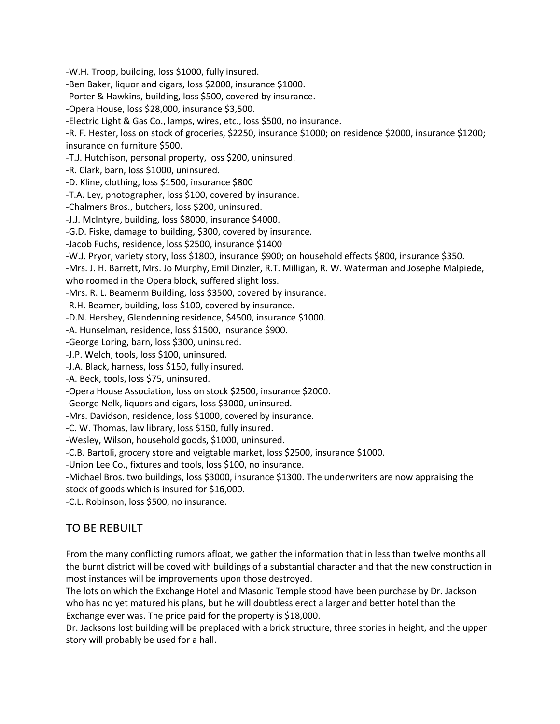-W.H. Troop, building, loss \$1000, fully insured. -Ben Baker, liquor and cigars, loss \$2000, insurance \$1000. -Porter & Hawkins, building, loss \$500, covered by insurance. -Opera House, loss \$28,000, insurance \$3,500. -Electric Light & Gas Co., lamps, wires, etc., loss \$500, no insurance. -R. F. Hester, loss on stock of groceries, \$2250, insurance \$1000; on residence \$2000, insurance \$1200; insurance on furniture \$500. -T.J. Hutchison, personal property, loss \$200, uninsured. -R. Clark, barn, loss \$1000, uninsured. -D. Kline, clothing, loss \$1500, insurance \$800 -T.A. Ley, photographer, loss \$100, covered by insurance. -Chalmers Bros., butchers, loss \$200, uninsured. -J.J. McIntyre, building, loss \$8000, insurance \$4000. -G.D. Fiske, damage to building, \$300, covered by insurance. -Jacob Fuchs, residence, loss \$2500, insurance \$1400 -W.J. Pryor, variety story, loss \$1800, insurance \$900; on household effects \$800, insurance \$350. -Mrs. J. H. Barrett, Mrs. Jo Murphy, Emil Dinzler, R.T. Milligan, R. W. Waterman and Josephe Malpiede, who roomed in the Opera block, suffered slight loss. -Mrs. R. L. Beamerm Building, loss \$3500, covered by insurance. -R.H. Beamer, building, loss \$100, covered by insurance. -D.N. Hershey, Glendenning residence, \$4500, insurance \$1000. -A. Hunselman, residence, loss \$1500, insurance \$900. -George Loring, barn, loss \$300, uninsured. -J.P. Welch, tools, loss \$100, uninsured. -J.A. Black, harness, loss \$150, fully insured. -A. Beck, tools, loss \$75, uninsured. -Opera House Association, loss on stock \$2500, insurance \$2000. -George Nelk, liquors and cigars, loss \$3000, uninsured. -Mrs. Davidson, residence, loss \$1000, covered by insurance. -C. W. Thomas, law library, loss \$150, fully insured. -Wesley, Wilson, household goods, \$1000, uninsured. -C.B. Bartoli, grocery store and veigtable market, loss \$2500, insurance \$1000. -Union Lee Co., fixtures and tools, loss \$100, no insurance. -Michael Bros. two buildings, loss \$3000, insurance \$1300. The underwriters are now appraising the stock of goods which is insured for \$16,000.

-C.L. Robinson, loss \$500, no insurance.

## TO BE REBUILT

From the many conflicting rumors afloat, we gather the information that in less than twelve months all the burnt district will be coved with buildings of a substantial character and that the new construction in most instances will be improvements upon those destroyed.

The lots on which the Exchange Hotel and Masonic Temple stood have been purchase by Dr. Jackson who has no yet matured his plans, but he will doubtless erect a larger and better hotel than the Exchange ever was. The price paid for the property is \$18,000.

Dr. Jacksons lost building will be preplaced with a brick structure, three stories in height, and the upper story will probably be used for a hall.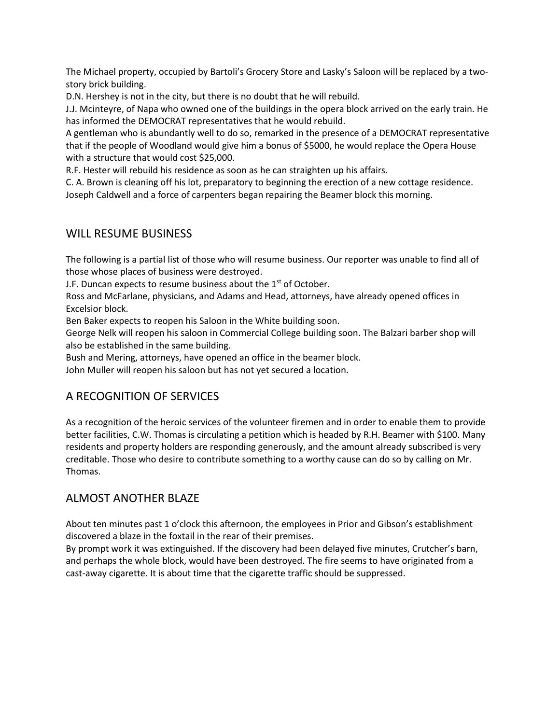The Michael property, occupied by Bartoli's Grocery Store and Lasky's Saloon will be replaced by a twostory brick building.

D.N. Hershey is not in the city, but there is no doubt that he will rebuild.

J.J. Mcinteyre, of Napa who owned one of the buildings in the opera block arrived on the early train. He has informed the DEMOCRAT representatives that he would rebuild.

A gentleman who is abundantly well to do so, remarked in the presence of a DEMOCRAT representative that if the people of Woodland would give him a bonus of \$5000, he would replace the Opera House with a structure that would cost \$25,000.

R.F. Hester will rebuild his residence as soon as he can straighten up his affairs.

C. A. Brown is cleaning off his lot, preparatory to beginning the erection of a new cottage residence. Joseph Caldwell and a force of carpenters began repairing the Beamer block this morning.

## WILL RESUME BUSINESS

The following is a partial list of those who will resume business. Our reporter was unable to find all of those whose places of business were destroyed.

J.F. Duncan expects to resume business about the  $1<sup>st</sup>$  of October.

Ross and McFarlane, physicians, and Adams and Head, attorneys, have already opened offices in Excelsior block.

Ben Baker expects to reopen his Saloon in the White building soon.

George Nelk will reopen his saloon in Commercial College building soon. The Balzari barber shop will also be established in the same building.

Bush and Mering, attorneys, have opened an office in the beamer block.

John Muller will reopen his saloon but has not yet secured a location.

## A RECOGNITION OF SERVICES

As a recognition of the heroic services of the volunteer firemen and in order to enable them to provide better facilities, C.W. Thomas is circulating a petition which is headed by R.H. Beamer with \$100. Many residents and property holders are responding generously, and the amount already subscribed is very creditable. Those who desire to contribute something to a worthy cause can do so by calling on Mr. Thomas.

## ALMOST ANOTHER BLAZE

About ten minutes past 1 o'clock this afternoon, the employees in Prior and Gibson's establishment discovered a blaze in the foxtail in the rear of their premises.

By prompt work it was extinguished. If the discovery had been delayed five minutes, Crutcher's barn, and perhaps the whole block, would have been destroyed. The fire seems to have originated from a cast-away cigarette. It is about time that the cigarette traffic should be suppressed.